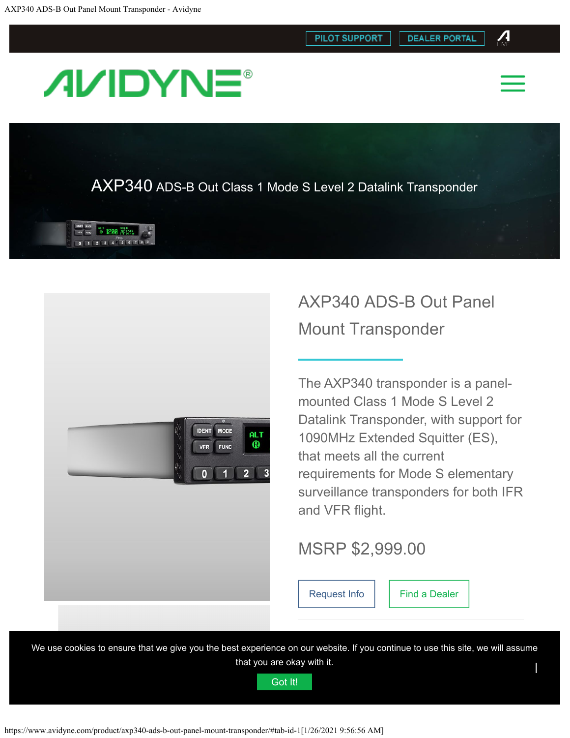**PILOT SUPPORT** 



 $\boldsymbol{\varLambda}$ 

# <span id="page-0-0"></span>**AVIDYNE®**

AXP340 ADS-B Out Class 1 Mode S Level 2 Datalink Transponder





## AXP340 ADS-B Out Panel Mount Transponder

The AXP340 transponder is a panelmounted Class 1 Mode S Level 2 Datalink Transponder, with support for 1090MHz Extended Squitter (ES), that meets all the current requirements for Mode S elementary surveillance transponders for both IFR and VFR fight.

## MSRP \$2,999.00

[Request Info](#page-0-0) | [Find a Dealer](https://www.avidyne.com/find-a-dealer/)

We use cookies to ensure that we give you the best experience on our website. If you continue to use this site, we will assume that you are okay with it.  $\blacksquare$ ι

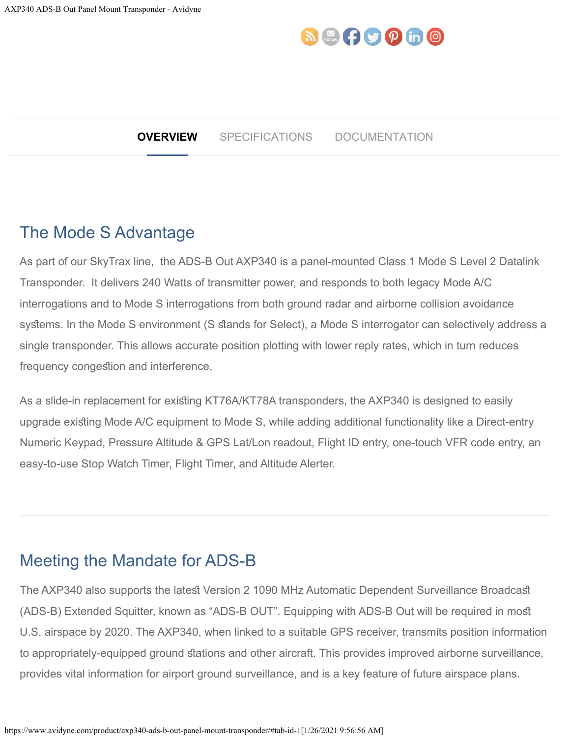## $\mathbf{D}$   $\mathbb{R}$   $\mathbf{G}$   $\mathbf{D}$   $\mathbf{D}$   $\mathbf{D}$   $\mathbf{D}$   $\mathbf{D}$

#### **OVERVIEW** SPECIFICATIONS DOCUMENTATION

### The Mode S Advantage

As part of our SkyTrax line, the ADS-B Out AXP340 is a panel-mounted Class 1 Mode S Level 2 Datalink Transponder. It delivers 240 Watts of transmitter power, and responds to both legacy Mode A/C interrogations and to Mode S interrogations from both ground radar and airborne collision avoidance systems. In the Mode S environment (S stands for Select), a Mode S interrogator can selectively address a single transponder. This allows accurate position plotting with lower reply rates, which in turn reduces frequency congestion and interference.

As a slide-in replacement for existing KT76A/KT78A transponders, the AXP340 is designed to easily upgrade existing Mode A/C equipment to Mode S, while adding additional functionality like a Direct-entry Numeric Keypad, Pressure Altitude & GPS Lat/Lon readout, Flight ID entry, one-touch VFR code entry, an easy-to-use Stop Watch Timer, Flight Timer, and Altitude Alerter.

## Meeting the Mandate for ADS-B

The AXP340 also supports the latest Version 2 1090 MHz Automatic Dependent Surveillance Broadcast (ADS-B) Extended Squitter, known as "ADS-B OUT". Equipping with ADS-B Out will be required in mos U.S. airspace by 2020. The AXP340, when linked to a suitable GPS receiver, transmits position information to appropriately-equipped ground stations and other aircraft. This provides improved airborne surveillance, provides vital information for airport ground surveillance, and is a key feature of future airspace plans.